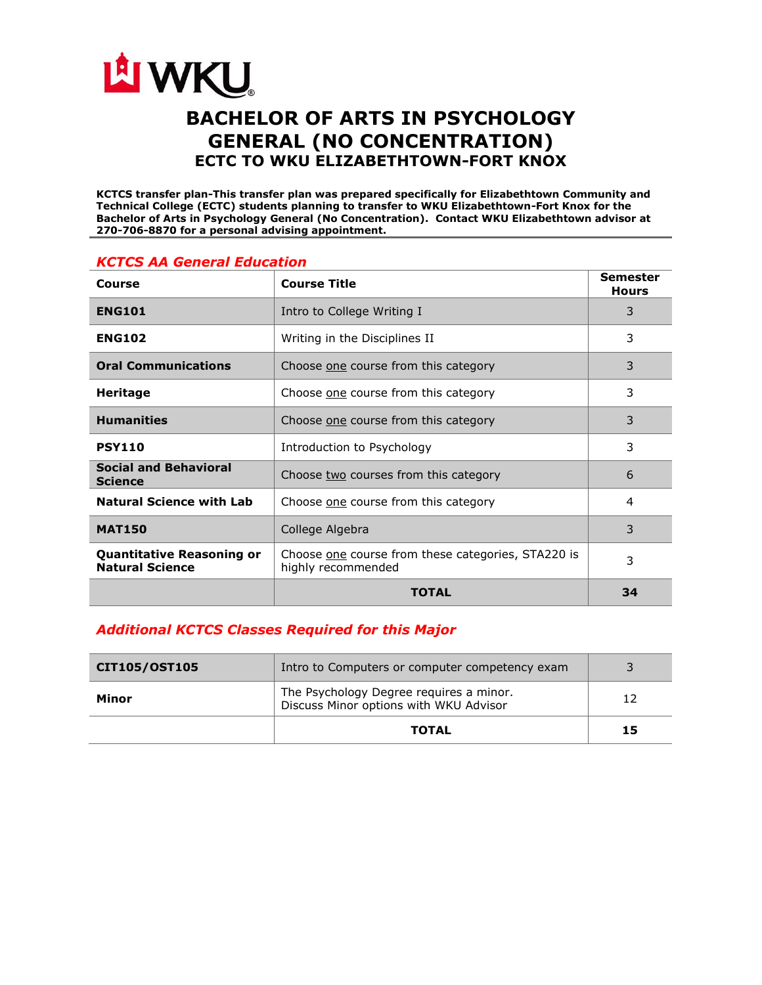

# **BACHELOR OF ARTS IN PSYCHOLOGY GENERAL (NO CONCENTRATION) ECTC TO WKU ELIZABETHTOWN-FORT KNOX**

**KCTCS transfer plan-This transfer plan was prepared specifically for Elizabethtown Community and Technical College (ECTC) students planning to transfer to WKU Elizabethtown-Fort Knox for the Bachelor of Arts in Psychology General (No Concentration). Contact WKU Elizabethtown advisor at 270-706-8870 for a personal advising appointment.** 

| Course                                                     | <b>Course Title</b>                                                      | Semester<br><b>Hours</b> |
|------------------------------------------------------------|--------------------------------------------------------------------------|--------------------------|
| <b>ENG101</b>                                              | Intro to College Writing I                                               | 3                        |
| <b>ENG102</b>                                              | Writing in the Disciplines II                                            | 3                        |
| <b>Oral Communications</b>                                 | Choose one course from this category                                     | 3                        |
| <b>Heritage</b>                                            | Choose one course from this category                                     | 3                        |
| <b>Humanities</b>                                          | Choose one course from this category                                     | 3                        |
| <b>PSY110</b>                                              | Introduction to Psychology                                               | 3                        |
| <b>Social and Behavioral</b><br><b>Science</b>             | Choose two courses from this category                                    | 6                        |
| <b>Natural Science with Lab</b>                            | Choose one course from this category                                     | 4                        |
| <b>MAT150</b>                                              | College Algebra                                                          | 3                        |
| <b>Quantitative Reasoning or</b><br><b>Natural Science</b> | Choose one course from these categories, STA220 is<br>highly recommended | 3                        |
|                                                            | <b>TOTAL</b>                                                             | 34                       |

### *KCTCS AA General Education*

## *Additional KCTCS Classes Required for this Major*

| CIT105/OST105 | Intro to Computers or computer competency exam                                    |    |
|---------------|-----------------------------------------------------------------------------------|----|
| Minor         | The Psychology Degree requires a minor.<br>Discuss Minor options with WKU Advisor | 12 |
|               | <b>TOTAL</b>                                                                      | 15 |